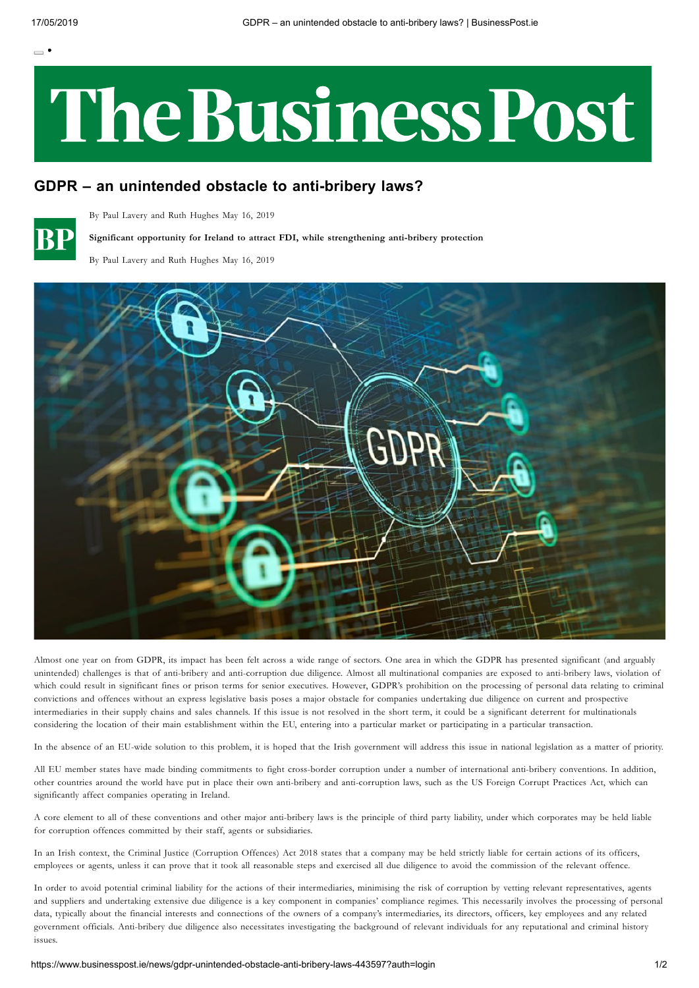$=$ .

## The Business Post

## **GDPR – an unintended obstacle to anti-bribery laws?**



By Paul Lavery and Ruth Hughes May 16, 2019

**Significant opportunity for Ireland to attract FDI, while strengthening anti-bribery protection**

By Paul Lavery and Ruth Hughes May 16, 2019



Almost one year on from GDPR, its impact has been felt across a wide range of sectors. One area in which the GDPR has presented significant (and arguably unintended) challenges is that of anti-bribery and anti-corruption due diligence. Almost all multinational companies are exposed to anti-bribery laws, violation of which could result in significant fines or prison terms for senior executives. However, GDPR's prohibition on the processing of personal data relating to criminal convictions and offences without an express legislative basis poses a major obstacle for companies undertaking due diligence on current and prospective intermediaries in their supply chains and sales channels. If this issue is not resolved in the short term, it could be a significant deterrent for multinationals considering the location of their main establishment within the EU, entering into a particular market or participating in a particular transaction.

In the absence of an EU-wide solution to this problem, it is hoped that the Irish government will address this issue in national legislation as a matter of priority.

All EU member states have made binding commitments to fight cross-border corruption under a number of international anti-bribery conventions. In addition, other countries around the world have put in place their own anti-bribery and anti-corruption laws, such as the US Foreign Corrupt Practices Act, which can significantly affect companies operating in Ireland.

A core element to all of these conventions and other major anti-bribery laws is the principle of third party liability, under which corporates may be held liable for corruption offences committed by their staff, agents or subsidiaries.

In an Irish context, the Criminal Justice (Corruption Offences) Act 2018 states that a company may be held strictly liable for certain actions of its officers, employees or agents, unless it can prove that it took all reasonable steps and exercised all due diligence to avoid the commission of the relevant offence.

In order to avoid potential criminal liability for the actions of their intermediaries, minimising the risk of corruption by vetting relevant representatives, agents and suppliers and undertaking extensive due diligence is a key component in companies' compliance regimes. This necessarily involves the processing of personal data, typically about the financial interests and connections of the owners of a company's intermediaries, its directors, officers, key employees and any related government officials. Anti-bribery due diligence also necessitates investigating the background of relevant individuals for any reputational and criminal history issues.